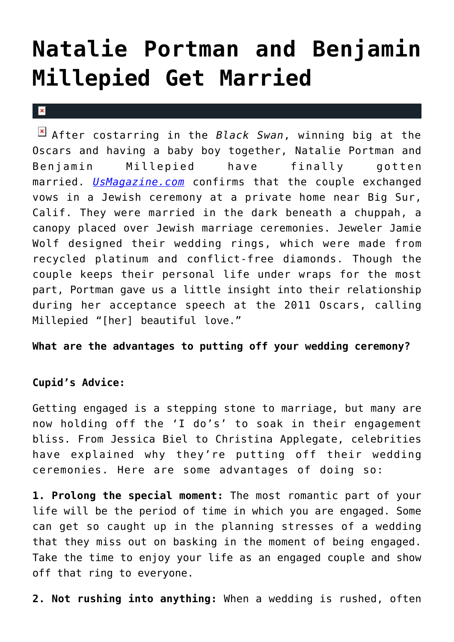## **[Natalie Portman and Benjamin](https://cupidspulse.com/36203/natalie-portman-and-benjamin-millepied-wedding-ceremony-marriage/) [Millepied Get Married](https://cupidspulse.com/36203/natalie-portman-and-benjamin-millepied-wedding-ceremony-marriage/)**

 $\vert \mathbf{x} \vert$ 

After costarring in the *Black Swan*, winning big at the Oscars and having a baby boy together, Natalie Portman and Benjamin Millepied have finally gotten married. *[UsMagazine.com](http://www.usmagazine.com/celebrity-news/news/natalie-portman-benjamin-millepied-have-wedding-ceremony-201258)* confirms that the couple exchanged vows in a Jewish ceremony at a private home near Big Sur, Calif. They were married in the dark beneath a chuppah, a canopy placed over Jewish marriage ceremonies. Jeweler Jamie Wolf designed their wedding rings, which were made from recycled platinum and conflict-free diamonds. Though the couple keeps their personal life under wraps for the most part, Portman gave us a little insight into their relationship during her acceptance speech at the 2011 Oscars, calling Millepied "[her] beautiful love."

**What are the advantages to putting off your wedding ceremony?**

## **Cupid's Advice:**

Getting engaged is a stepping stone to marriage, but many are now holding off the 'I do's' to soak in their engagement bliss. From Jessica Biel to Christina Applegate, celebrities have explained why they're putting off their wedding ceremonies. Here are some advantages of doing so:

**1. Prolong the special moment:** The most romantic part of your life will be the period of time in which you are engaged. Some can get so caught up in the planning stresses of a wedding that they miss out on basking in the moment of being engaged. Take the time to enjoy your life as an engaged couple and show off that ring to everyone.

**2. Not rushing into anything:** When a wedding is rushed, often